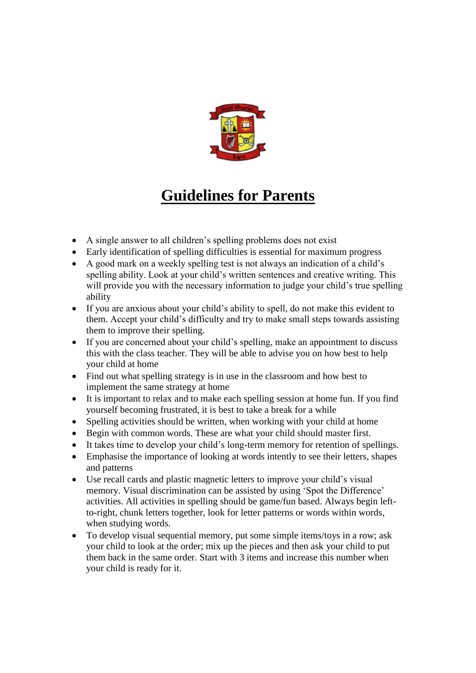

# **Guidelines for Parents**

- A single answer to all children's spelling problems does not exist
- Early identification of spelling difficulties is essential for maximum progress
- A good mark on a weekly spelling test is not always an indication of a child's spelling ability. Look at your child's written sentences and creative writing. This will provide you with the necessary information to judge your child's true spelling ability
- If you are anxious about your child's ability to spell, do not make this evident to them. Accept your child's difficulty and try to make small steps towards assisting them to improve their spelling.
- If you are concerned about your child's spelling, make an appointment to discuss this with the class teacher. They will be able to advise you on how best to help your child at home
- Find out what spelling strategy is in use in the classroom and how best to implement the same strategy at home
- It is important to relax and to make each spelling session at home fun. If you find yourself becoming frustrated, it is best to take a break for a while
- Spelling activities should be written, when working with your child at home
- Begin with common words. These are what your child should master first.
- It takes time to develop your child's long-term memory for retention of spellings.
- Emphasise the importance of looking at words intently to see their letters, shapes and patterns
- Use recall cards and plastic magnetic letters to improve your child's visual memory. Visual discrimination can be assisted by using 'Spot the Difference' activities. All activities in spelling should be game/fun based. Always begin leftto-right, chunk letters together, look for letter patterns or words within words, when studying words.
- To develop visual sequential memory, put some simple items/toys in a row; ask your child to look at the order; mix up the pieces and then ask your child to put them back in the same order. Start with 3 items and increase this number when your child is ready for it.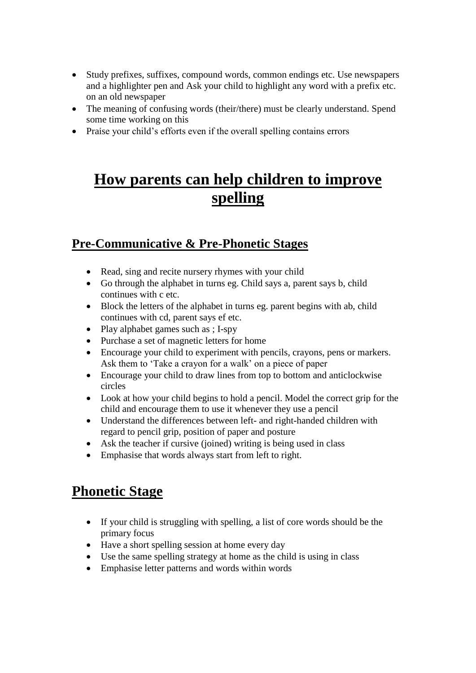- Study prefixes, suffixes, compound words, common endings etc. Use newspapers and a highlighter pen and Ask your child to highlight any word with a prefix etc. on an old newspaper
- The meaning of confusing words (their/there) must be clearly understand. Spend some time working on this
- Praise your child's efforts even if the overall spelling contains errors

## **How parents can help children to improve spelling**

#### **Pre-Communicative & Pre-Phonetic Stages**

- Read, sing and recite nursery rhymes with your child
- Go through the alphabet in turns eg. Child says a, parent says b, child continues with c etc.
- Block the letters of the alphabet in turns eg. parent begins with ab, child continues with cd, parent says ef etc.
- Play alphabet games such as ; I-spy
- Purchase a set of magnetic letters for home
- Encourage your child to experiment with pencils, crayons, pens or markers. Ask them to 'Take a crayon for a walk' on a piece of paper
- Encourage your child to draw lines from top to bottom and anticlockwise circles
- Look at how your child begins to hold a pencil. Model the correct grip for the child and encourage them to use it whenever they use a pencil
- Understand the differences between left- and right-handed children with regard to pencil grip, position of paper and posture
- Ask the teacher if cursive (joined) writing is being used in class
- Emphasise that words always start from left to right.

### **Phonetic Stage**

- If your child is struggling with spelling, a list of core words should be the primary focus
- Have a short spelling session at home every day
- Use the same spelling strategy at home as the child is using in class
- Emphasise letter patterns and words within words